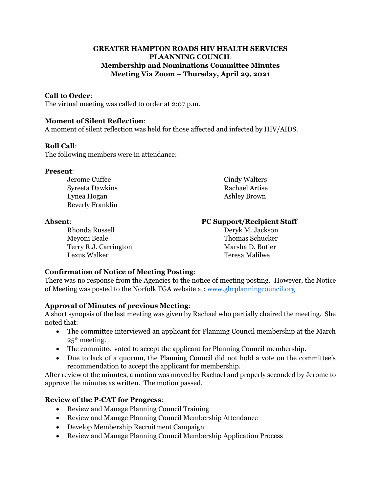## **GREATER HAMPTON ROADS HIV HEALTH SERVICES PLAANNING COUNCIL Membership and Nominations Committee Minutes Meeting Via Zoom – Thursday, April 29, 2021**

## **Call to Order**:

The virtual meeting was called to order at 2:07 p.m.

#### **Moment of Silent Reflection**:

A moment of silent reflection was held for those affected and infected by HIV/AIDS.

#### **Roll Call**:

The following members were in attendance:

#### **Present**:

Syreeta Dawkins Rachael Artise Lynea Hogan **Ashley Brown** Beverly Franklin

Rhonda Russell Deryk M. Jackson Meyoni Beale Thomas Schucker Terry R.J. Carrington Marsha D. Butler Lexus Walker Teresa Malilwe

# Jerome Cuffee Cindy Walters

## **Absent**: **PC Support/Recipient Staff**

# **Confirmation of Notice of Meeting Posting**:

There was no response from the Agencies to the notice of meeting posting. However, the Notice of Meeting was posted to the Norfolk TGA website at: [www.ghrplanningcouncil.org](http://www.ghrplanningcouncil.org/)

#### **Approval of Minutes of previous Meeting**:

A short synopsis of the last meeting was given by Rachael who partially chaired the meeting. She noted that:

- The committee interviewed an applicant for Planning Council membership at the March 25th meeting.
- The committee voted to accept the applicant for Planning Council membership.
- Due to lack of a quorum, the Planning Council did not hold a vote on the committee's recommendation to accept the applicant for membership.

After review of the minutes, a motion was moved by Rachael and properly seconded by Jerome to approve the minutes as written. The motion passed.

# **Review of the P-CAT for Progress**:

- Review and Manage Planning Council Training
- Review and Manage Planning Council Membership Attendance
- Develop Membership Recruitment Campaign
- Review and Manage Planning Council Membership Application Process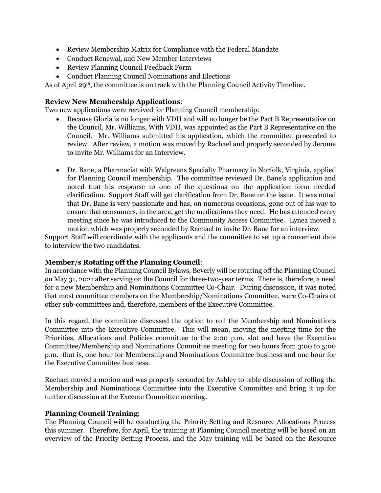- Review Membership Matrix for Compliance with the Federal Mandate
- Conduct Renewal, and New Member Interviews
- Review Planning Council Feedback Form
- Conduct Planning Council Nominations and Elections

As of April 29th, the committee is on track with the Planning Council Activity Timeline.

#### **Review New Membership Applications**:

Two new applications were received for Planning Council membership:

- Because Gloria is no longer with VDH and will no longer be the Part B Representative on the Council, Mr. Williams, With VDH, was appointed as the Part B Representative on the Council. Mr. Williams submitted his application, which the committee proceeded to review. After review, a motion was moved by Rachael and properly seconded by Jerome to invite Mr. Williams for an Interview.
- Dr. Bane, a Pharmacist with Walgreens Specialty Pharmacy in Norfolk, Virginia, applied for Planning Council membership. The committee reviewed Dr. Bane's application and noted that his response to one of the questions on the application form needed clarification. Support Staff will get clarification from Dr. Bane on the issue. It was noted that Dr, Bane is very passionate and has, on numerous occasions, gone out of his way to ensure that consumers, in the area, get the medications they need. He has attended every meeting since he was introduced to the Community Access Committee. Lynea moved a motion which was properly seconded by Rachael to invite Dr. Bane for an interview.

Support Staff will coordinate with the applicants and the committee to set up a convenient date to interview the two candidates.

#### **Member/s Rotating off the Planning Council**:

In accordance with the Planning Council Bylaws, Beverly will be rotating off the Planning Council on May 31, 2021 after serving on the Council for three-two-year terms. There is, therefore, a need for a new Membership and Nominations Committee Co-Chair. During discussion, it was noted that most committee members on the Membership/Nominations Committee, were Co-Chairs of other sub-committees and, therefore, members of the Executive Committee.

In this regard, the committee discussed the option to roll the Membership and Nominations Committee into the Executive Committee. This will mean, moving the meeting time for the Priorities, Allocations and Policies committee to the 2:00 p.m. slot and have the Executive Committee/Membership and Nominations Committee meeting for two hours from 3:00 to 5:00 p.m. that is, one hour for Membership and Nominations Committee business and one hour for the Executive Committee business.

Rachael moved a motion and was properly seconded by Ashley to table discussion of rolling the Membership and Nominations Committee into the Executive Committee and bring it up for further discussion at the Execute Committee meeting.

#### **Planning Council Training**:

The Planning Council will be conducting the Priority Setting and Resource Allocations Process this summer. Therefore, for April, the training at Planning Council meeting will be based on an overview of the Priority Setting Process, and the May training will be based on the Resource